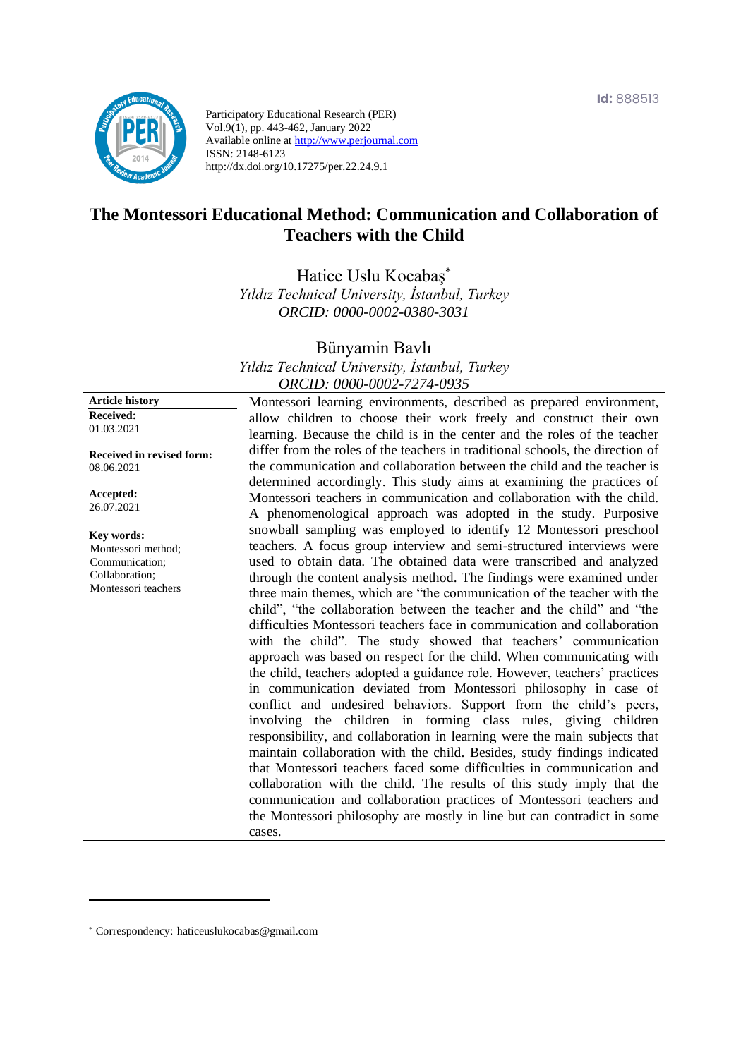

Participatory Educational Research (PER) Vol.9(1), pp. 443-462, January 2022 Available online at http://www.perjournal.com ISSN: 2148-6123 http://dx.doi.org/10.17275/per.22.24.9.1

# **The Montessori Educational Method: Communication and Collaboration of Teachers with the Child**

Hatice Uslu Kocabaş\* *Yıldız Technical University, İstanbul, Turkey ORCID: 0000-0002-0380-3031*

Bünyamin Bavlı

*Yıldız Technical University, İstanbul, Turkey ORCID: 0000-0002-7274-0935*

Montessori learning environments, described as prepared environment, allow children to choose their work freely and construct their own learning. Because the child is in the center and the roles of the teacher differ from the roles of the teachers in traditional schools, the direction of the communication and collaboration between the child and the teacher is determined accordingly. This study aims at examining the practices of Montessori teachers in communication and collaboration with the child. A phenomenological approach was adopted in the study. Purposive snowball sampling was employed to identify 12 Montessori preschool teachers. A focus group interview and semi-structured interviews were used to obtain data. The obtained data were transcribed and analyzed through the content analysis method. The findings were examined under three main themes, which are "the communication of the teacher with the child", "the collaboration between the teacher and the child" and "the difficulties Montessori teachers face in communication and collaboration with the child". The study showed that teachers' communication approach was based on respect for the child. When communicating with the child, teachers adopted a guidance role. However, teachers' practices in communication deviated from Montessori philosophy in case of conflict and undesired behaviors. Support from the child's peers, involving the children in forming class rules, giving children responsibility, and collaboration in learning were the main subjects that maintain collaboration with the child. Besides, study findings indicated that Montessori teachers faced some difficulties in communication and collaboration with the child. The results of this study imply that the communication and collaboration practices of Montessori teachers and the Montessori philosophy are mostly in line but can contradict in some cases.

**Article history Received:**  01.03.2021

**Received in revised form:**  08.06.2021

**Accepted:** 26.07.2021

**Key words:**

Montessori method; Communication; Collaboration; Montessori teachers

<sup>\*</sup> [Correspondency:](mailto:Correspondency:) haticeuslukocabas@gmail.com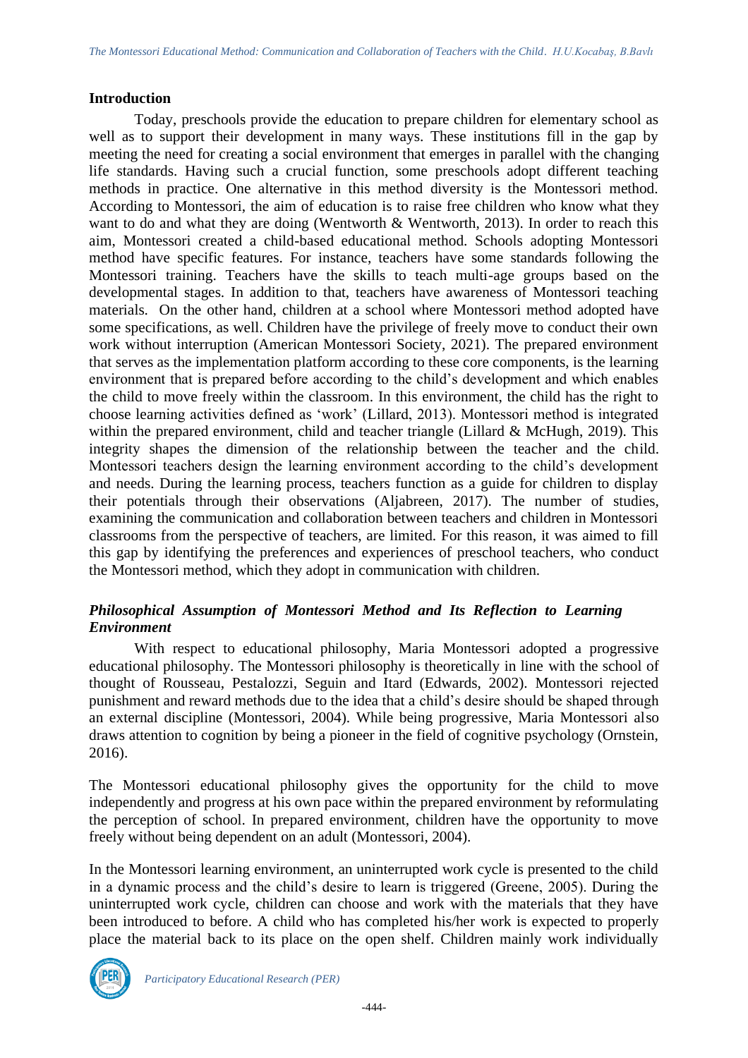#### **Introduction**

Today, preschools provide the education to prepare children for elementary school as well as to support their development in many ways. These institutions fill in the gap by meeting the need for creating a social environment that emerges in parallel with the changing life standards. Having such a crucial function, some preschools adopt different teaching methods in practice. One alternative in this method diversity is the Montessori method. According to Montessori, the aim of education is to raise free children who know what they want to do and what they are doing (Wentworth & Wentworth, 2013). In order to reach this aim, Montessori created a child-based educational method. Schools adopting Montessori method have specific features. For instance, teachers have some standards following the Montessori training. Teachers have the skills to teach multi-age groups based on the developmental stages. In addition to that, teachers have awareness of Montessori teaching materials. On the other hand, children at a school where Montessori method adopted have some specifications, as well. Children have the privilege of freely move to conduct their own work without interruption (American Montessori Society, 2021). The prepared environment that serves as the implementation platform according to these core components, is the learning environment that is prepared before according to the child's development and which enables the child to move freely within the classroom. In this environment, the child has the right to choose learning activities defined as 'work' (Lillard, 2013). Montessori method is integrated within the prepared environment, child and teacher triangle (Lillard & McHugh, 2019). This integrity shapes the dimension of the relationship between the teacher and the child. Montessori teachers design the learning environment according to the child's development and needs. During the learning process, teachers function as a guide for children to display their potentials through their observations (Aljabreen, 2017). The number of studies, examining the communication and collaboration between teachers and children in Montessori classrooms from the perspective of teachers, are limited. For this reason, it was aimed to fill this gap by identifying the preferences and experiences of preschool teachers, who conduct the Montessori method, which they adopt in communication with children.

### *Philosophical Assumption of Montessori Method and Its Reflection to Learning Environment*

With respect to educational philosophy, Maria Montessori adopted a progressive educational philosophy. The Montessori philosophy is theoretically in line with the school of thought of Rousseau, Pestalozzi, Seguin and Itard (Edwards, 2002). Montessori rejected punishment and reward methods due to the idea that a child's desire should be shaped through an external discipline (Montessori, 2004). While being progressive, Maria Montessori also draws attention to cognition by being a pioneer in the field of cognitive psychology (Ornstein, 2016).

The Montessori educational philosophy gives the opportunity for the child to move independently and progress at his own pace within the prepared environment by reformulating the perception of school. In prepared environment, children have the opportunity to move freely without being dependent on an adult (Montessori, 2004).

In the Montessori learning environment, an uninterrupted work cycle is presented to the child in a dynamic process and the child's desire to learn is triggered (Greene, 2005). During the uninterrupted work cycle, children can choose and work with the materials that they have been introduced to before. A child who has completed his/her work is expected to properly place the material back to its place on the open shelf. Children mainly work individually

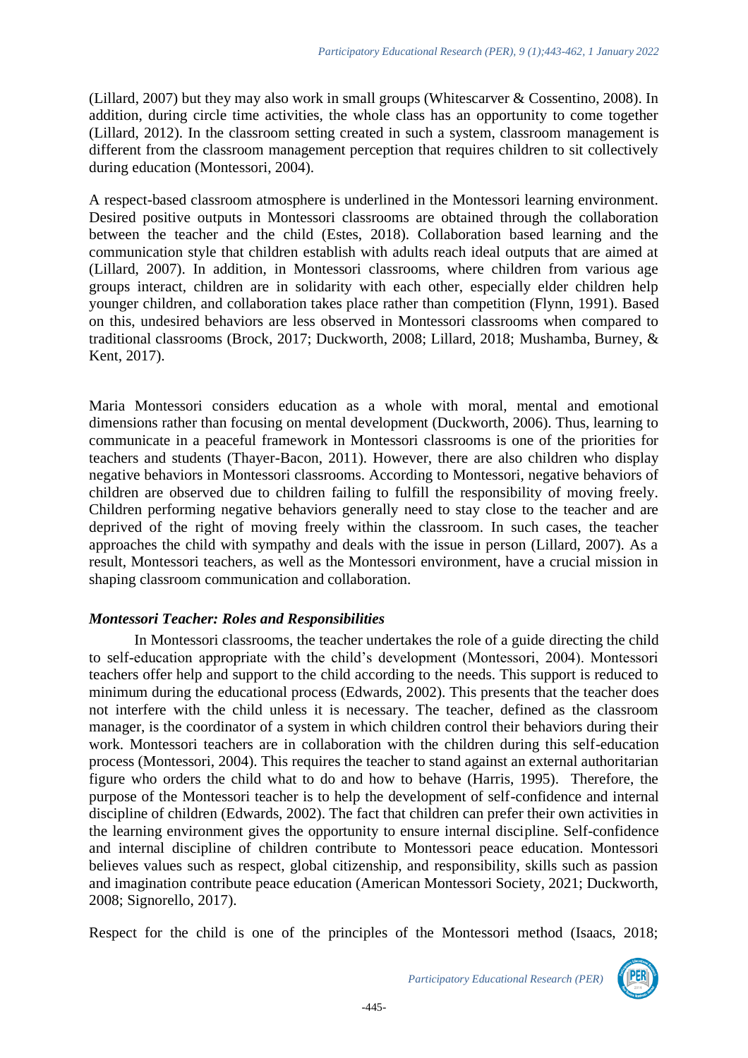(Lillard, 2007) but they may also work in small groups (Whitescarver & Cossentino, 2008). In addition, during circle time activities, the whole class has an opportunity to come together (Lillard, 2012). In the classroom setting created in such a system, classroom management is different from the classroom management perception that requires children to sit collectively during education (Montessori, 2004).

A respect-based classroom atmosphere is underlined in the Montessori learning environment. Desired positive outputs in Montessori classrooms are obtained through the collaboration between the teacher and the child (Estes, 2018). Collaboration based learning and the communication style that children establish with adults reach ideal outputs that are aimed at (Lillard, 2007). In addition, in Montessori classrooms, where children from various age groups interact, children are in solidarity with each other, especially elder children help younger children, and collaboration takes place rather than competition (Flynn, 1991). Based on this, undesired behaviors are less observed in Montessori classrooms when compared to traditional classrooms (Brock, 2017; Duckworth, 2008; Lillard, 2018; Mushamba, Burney, & Kent, 2017).

Maria Montessori considers education as a whole with moral, mental and emotional dimensions rather than focusing on mental development (Duckworth, 2006). Thus, learning to communicate in a peaceful framework in Montessori classrooms is one of the priorities for teachers and students (Thayer-Bacon, 2011). However, there are also children who display negative behaviors in Montessori classrooms. According to Montessori, negative behaviors of children are observed due to children failing to fulfill the responsibility of moving freely. Children performing negative behaviors generally need to stay close to the teacher and are deprived of the right of moving freely within the classroom. In such cases, the teacher approaches the child with sympathy and deals with the issue in person (Lillard, 2007). As a result, Montessori teachers, as well as the Montessori environment, have a crucial mission in shaping classroom communication and collaboration.

### *Montessori Teacher: Roles and Responsibilities*

In Montessori classrooms, the teacher undertakes the role of a guide directing the child to self-education appropriate with the child's development (Montessori, 2004). Montessori teachers offer help and support to the child according to the needs. This support is reduced to minimum during the educational process (Edwards, 2002). This presents that the teacher does not interfere with the child unless it is necessary. The teacher, defined as the classroom manager, is the coordinator of a system in which children control their behaviors during their work. Montessori teachers are in collaboration with the children during this self-education process (Montessori, 2004). This requires the teacher to stand against an external authoritarian figure who orders the child what to do and how to behave (Harris, 1995). Therefore, the purpose of the Montessori teacher is to help the development of self-confidence and internal discipline of children (Edwards, 2002). The fact that children can prefer their own activities in the learning environment gives the opportunity to ensure internal discipline. Self-confidence and internal discipline of children contribute to Montessori peace education. Montessori believes values such as respect, global citizenship, and responsibility, skills such as passion and imagination contribute peace education (American Montessori Society, 2021; Duckworth, 2008; Signorello, 2017).

Respect for the child is one of the principles of the Montessori method (Isaacs, 2018;

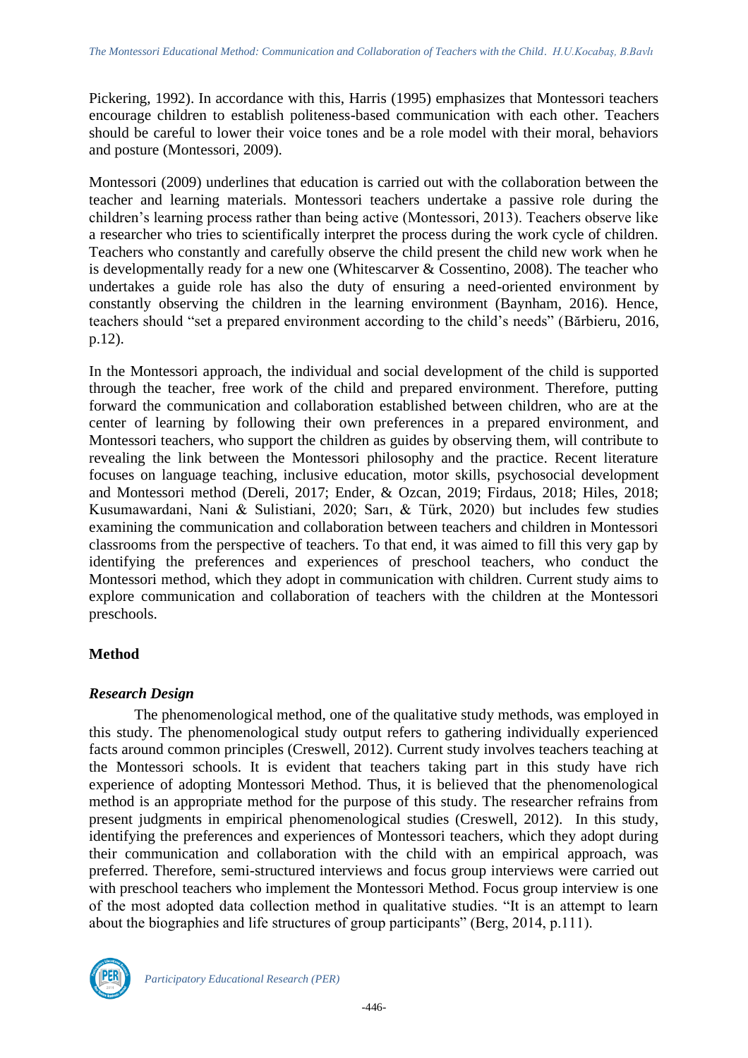Pickering, 1992). In accordance with this, Harris (1995) emphasizes that Montessori teachers encourage children to establish politeness-based communication with each other. Teachers should be careful to lower their voice tones and be a role model with their moral, behaviors and posture (Montessori, 2009).

Montessori (2009) underlines that education is carried out with the collaboration between the teacher and learning materials. Montessori teachers undertake a passive role during the children's learning process rather than being active (Montessori, 2013). Teachers observe like a researcher who tries to scientifically interpret the process during the work cycle of children. Teachers who constantly and carefully observe the child present the child new work when he is developmentally ready for a new one (Whitescarver & Cossentino, 2008). The teacher who undertakes a guide role has also the duty of ensuring a need-oriented environment by constantly observing the children in the learning environment (Baynham, 2016). Hence, teachers should "set a prepared environment according to the child's needs" (Bărbieru, 2016, p.12).

In the Montessori approach, the individual and social development of the child is supported through the teacher, free work of the child and prepared environment. Therefore, putting forward the communication and collaboration established between children, who are at the center of learning by following their own preferences in a prepared environment, and Montessori teachers, who support the children as guides by observing them, will contribute to revealing the link between the Montessori philosophy and the practice. Recent literature focuses on language teaching, inclusive education, motor skills, psychosocial development and Montessori method (Dereli, 2017; Ender, & Ozcan, 2019; Firdaus, 2018; Hiles, 2018; Kusumawardani, Nani & Sulistiani, 2020; Sarı, & Türk, 2020) but includes few studies examining the communication and collaboration between teachers and children in Montessori classrooms from the perspective of teachers. To that end, it was aimed to fill this very gap by identifying the preferences and experiences of preschool teachers, who conduct the Montessori method, which they adopt in communication with children. Current study aims to explore communication and collaboration of teachers with the children at the Montessori preschools.

## **Method**

### *Research Design*

The phenomenological method, one of the qualitative study methods, was employed in this study. The phenomenological study output refers to gathering individually experienced facts around common principles (Creswell, 2012). Current study involves teachers teaching at the Montessori schools. It is evident that teachers taking part in this study have rich experience of adopting Montessori Method. Thus, it is believed that the phenomenological method is an appropriate method for the purpose of this study. The researcher refrains from present judgments in empirical phenomenological studies (Creswell, 2012). In this study, identifying the preferences and experiences of Montessori teachers, which they adopt during their communication and collaboration with the child with an empirical approach, was preferred. Therefore, semi-structured interviews and focus group interviews were carried out with preschool teachers who implement the Montessori Method. Focus group interview is one of the most adopted data collection method in qualitative studies. "It is an attempt to learn about the biographies and life structures of group participants" (Berg, 2014, p.111).

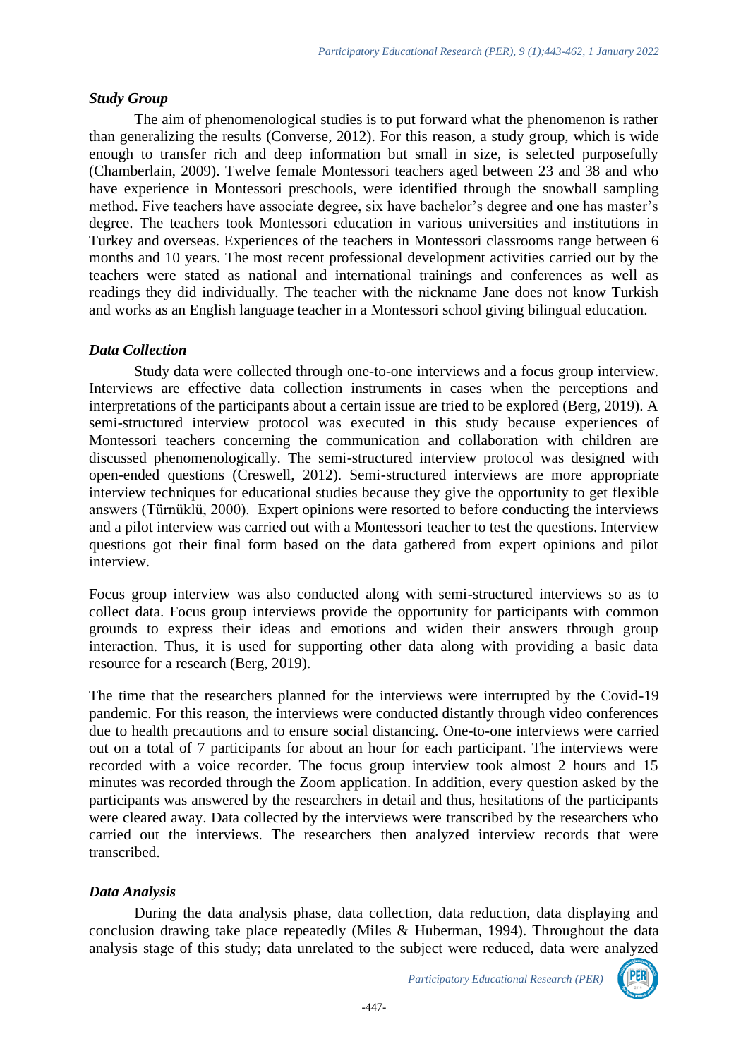### *Study Group*

The aim of phenomenological studies is to put forward what the phenomenon is rather than generalizing the results (Converse, 2012). For this reason, a study group, which is wide enough to transfer rich and deep information but small in size, is selected purposefully (Chamberlain, 2009). Twelve female Montessori teachers aged between 23 and 38 and who have experience in Montessori preschools, were identified through the snowball sampling method. Five teachers have associate degree, six have bachelor's degree and one has master's degree. The teachers took Montessori education in various universities and institutions in Turkey and overseas. Experiences of the teachers in Montessori classrooms range between 6 months and 10 years. The most recent professional development activities carried out by the teachers were stated as national and international trainings and conferences as well as readings they did individually. The teacher with the nickname Jane does not know Turkish and works as an English language teacher in a Montessori school giving bilingual education.

## *Data Collection*

Study data were collected through one-to-one interviews and a focus group interview. Interviews are effective data collection instruments in cases when the perceptions and interpretations of the participants about a certain issue are tried to be explored (Berg, 2019). A semi-structured interview protocol was executed in this study because experiences of Montessori teachers concerning the communication and collaboration with children are discussed phenomenologically. The semi-structured interview protocol was designed with open-ended questions (Creswell, 2012). Semi-structured interviews are more appropriate interview techniques for educational studies because they give the opportunity to get flexible answers (Türnüklü, 2000). Expert opinions were resorted to before conducting the interviews and a pilot interview was carried out with a Montessori teacher to test the questions. Interview questions got their final form based on the data gathered from expert opinions and pilot interview.

Focus group interview was also conducted along with semi-structured interviews so as to collect data. Focus group interviews provide the opportunity for participants with common grounds to express their ideas and emotions and widen their answers through group interaction. Thus, it is used for supporting other data along with providing a basic data resource for a research (Berg, 2019).

The time that the researchers planned for the interviews were interrupted by the Covid-19 pandemic. For this reason, the interviews were conducted distantly through video conferences due to health precautions and to ensure social distancing. One-to-one interviews were carried out on a total of 7 participants for about an hour for each participant. The interviews were recorded with a voice recorder. The focus group interview took almost 2 hours and 15 minutes was recorded through the Zoom application. In addition, every question asked by the participants was answered by the researchers in detail and thus, hesitations of the participants were cleared away. Data collected by the interviews were transcribed by the researchers who carried out the interviews. The researchers then analyzed interview records that were transcribed.

## *Data Analysis*

During the data analysis phase, data collection, data reduction, data displaying and conclusion drawing take place repeatedly (Miles & Huberman, 1994). Throughout the data analysis stage of this study; data unrelated to the subject were reduced, data were analyzed

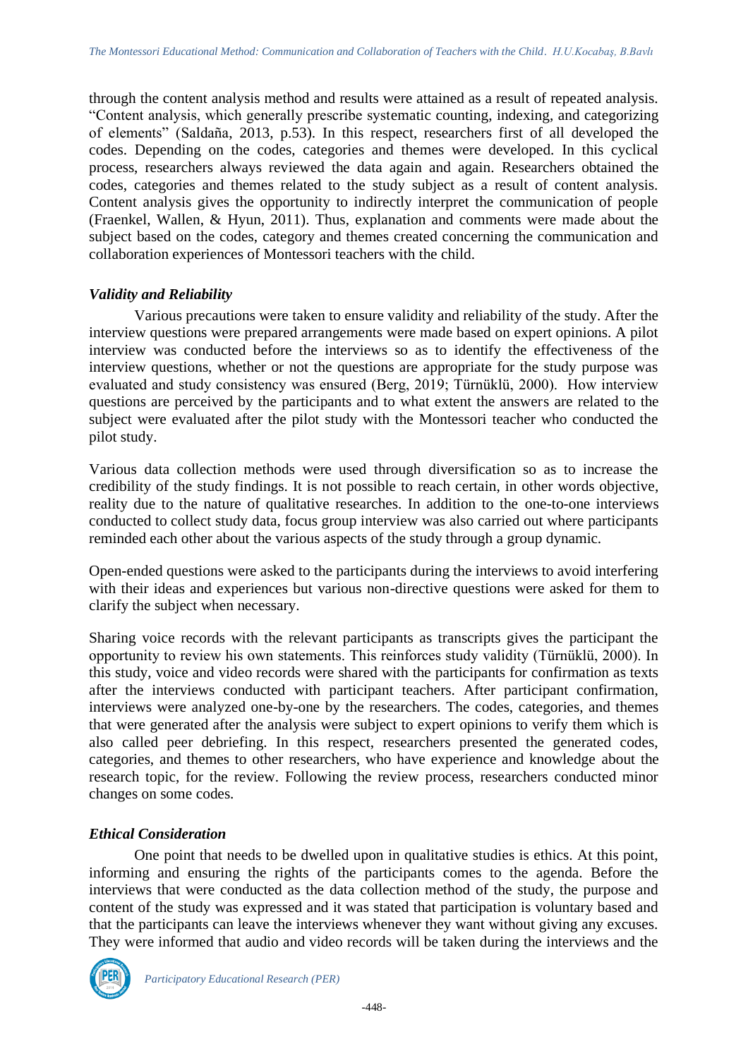through the content analysis method and results were attained as a result of repeated analysis. "Content analysis, which generally prescribe systematic counting, indexing, and categorizing of elements" (Saldaña, 2013, p.53). In this respect, researchers first of all developed the codes. Depending on the codes, categories and themes were developed. In this cyclical process, researchers always reviewed the data again and again. Researchers obtained the codes, categories and themes related to the study subject as a result of content analysis. Content analysis gives the opportunity to indirectly interpret the communication of people (Fraenkel, Wallen, & Hyun, 2011). Thus, explanation and comments were made about the subject based on the codes, category and themes created concerning the communication and collaboration experiences of Montessori teachers with the child.

### *Validity and Reliability*

Various precautions were taken to ensure validity and reliability of the study. After the interview questions were prepared arrangements were made based on expert opinions. A pilot interview was conducted before the interviews so as to identify the effectiveness of the interview questions, whether or not the questions are appropriate for the study purpose was evaluated and study consistency was ensured (Berg, 2019; Türnüklü, 2000). How interview questions are perceived by the participants and to what extent the answers are related to the subject were evaluated after the pilot study with the Montessori teacher who conducted the pilot study.

Various data collection methods were used through diversification so as to increase the credibility of the study findings. It is not possible to reach certain, in other words objective, reality due to the nature of qualitative researches. In addition to the one-to-one interviews conducted to collect study data, focus group interview was also carried out where participants reminded each other about the various aspects of the study through a group dynamic.

Open-ended questions were asked to the participants during the interviews to avoid interfering with their ideas and experiences but various non-directive questions were asked for them to clarify the subject when necessary.

Sharing voice records with the relevant participants as transcripts gives the participant the opportunity to review his own statements. This reinforces study validity (Türnüklü, 2000). In this study, voice and video records were shared with the participants for confirmation as texts after the interviews conducted with participant teachers. After participant confirmation, interviews were analyzed one-by-one by the researchers. The codes, categories, and themes that were generated after the analysis were subject to expert opinions to verify them which is also called peer debriefing. In this respect, researchers presented the generated codes, categories, and themes to other researchers, who have experience and knowledge about the research topic, for the review. Following the review process, researchers conducted minor changes on some codes.

## *Ethical Consideration*

One point that needs to be dwelled upon in qualitative studies is ethics. At this point, informing and ensuring the rights of the participants comes to the agenda. Before the interviews that were conducted as the data collection method of the study, the purpose and content of the study was expressed and it was stated that participation is voluntary based and that the participants can leave the interviews whenever they want without giving any excuses. They were informed that audio and video records will be taken during the interviews and the

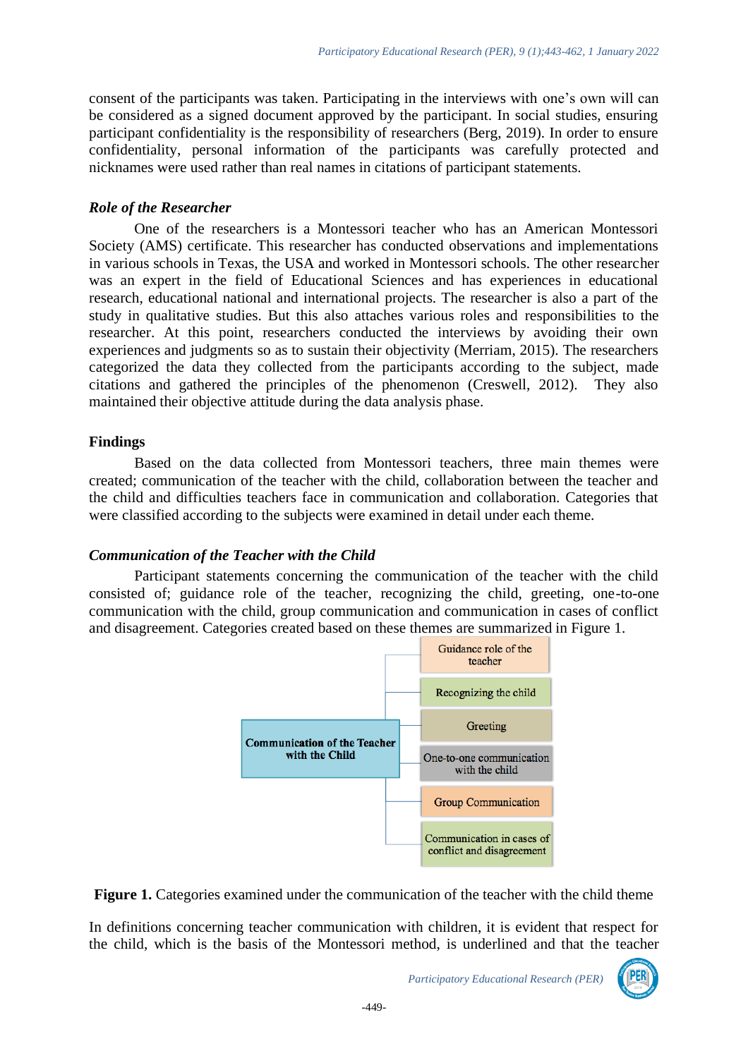consent of the participants was taken. Participating in the interviews with one's own will can be considered as a signed document approved by the participant. In social studies, ensuring participant confidentiality is the responsibility of researchers (Berg, 2019). In order to ensure confidentiality, personal information of the participants was carefully protected and nicknames were used rather than real names in citations of participant statements.

#### *Role of the Researcher*

One of the researchers is a Montessori teacher who has an American Montessori Society (AMS) certificate. This researcher has conducted observations and implementations in various schools in Texas, the USA and worked in Montessori schools. The other researcher was an expert in the field of Educational Sciences and has experiences in educational research, educational national and international projects. The researcher is also a part of the study in qualitative studies. But this also attaches various roles and responsibilities to the researcher. At this point, researchers conducted the interviews by avoiding their own experiences and judgments so as to sustain their objectivity (Merriam, 2015). The researchers categorized the data they collected from the participants according to the subject, made citations and gathered the principles of the phenomenon (Creswell, 2012). They also maintained their objective attitude during the data analysis phase.

#### **Findings**

Based on the data collected from Montessori teachers, three main themes were created; communication of the teacher with the child, collaboration between the teacher and the child and difficulties teachers face in communication and collaboration. Categories that were classified according to the subjects were examined in detail under each theme.

#### *Communication of the Teacher with the Child*

Participant statements concerning the communication of the teacher with the child consisted of; guidance role of the teacher, recognizing the child, greeting, one-to-one communication with the child, group communication and communication in cases of conflict and disagreement. Categories created based on these themes are summarized in Figure 1.



Figure 1. Categories examined under the communication of the teacher with the child theme

In definitions concerning teacher communication with children, it is evident that respect for the child, which is the basis of the Montessori method, is underlined and that the teacher

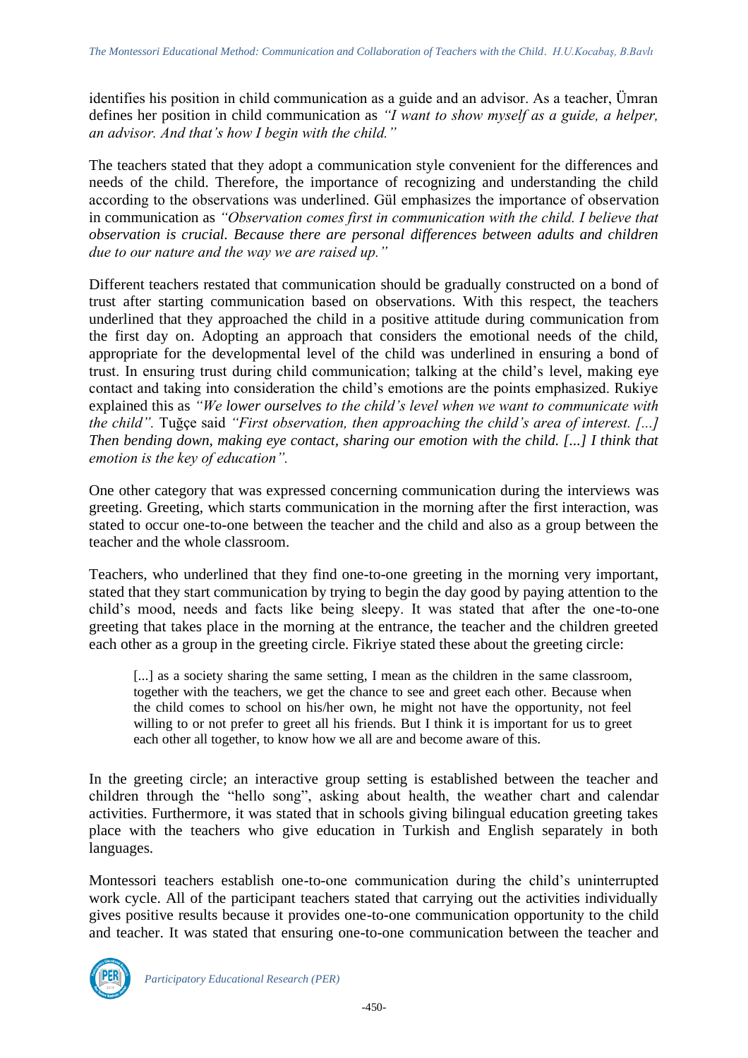identifies his position in child communication as a guide and an advisor. As a teacher, Ümran defines her position in child communication as *"I want to show myself as a guide, a helper, an advisor. And that's how I begin with the child."*

The teachers stated that they adopt a communication style convenient for the differences and needs of the child. Therefore, the importance of recognizing and understanding the child according to the observations was underlined. Gül emphasizes the importance of observation in communication as *"Observation comes first in communication with the child. I believe that observation is crucial. Because there are personal differences between adults and children due to our nature and the way we are raised up."*

Different teachers restated that communication should be gradually constructed on a bond of trust after starting communication based on observations. With this respect, the teachers underlined that they approached the child in a positive attitude during communication from the first day on. Adopting an approach that considers the emotional needs of the child, appropriate for the developmental level of the child was underlined in ensuring a bond of trust. In ensuring trust during child communication; talking at the child's level, making eye contact and taking into consideration the child's emotions are the points emphasized. Rukiye explained this as *"We lower ourselves to the child's level when we want to communicate with the child".* Tuğçe said *"First observation, then approaching the child's area of interest. [...] Then bending down, making eye contact, sharing our emotion with the child. [...] I think that emotion is the key of education".*

One other category that was expressed concerning communication during the interviews was greeting. Greeting, which starts communication in the morning after the first interaction, was stated to occur one-to-one between the teacher and the child and also as a group between the teacher and the whole classroom.

Teachers, who underlined that they find one-to-one greeting in the morning very important, stated that they start communication by trying to begin the day good by paying attention to the child's mood, needs and facts like being sleepy. It was stated that after the one-to-one greeting that takes place in the morning at the entrance, the teacher and the children greeted each other as a group in the greeting circle. Fikriye stated these about the greeting circle:

[...] as a society sharing the same setting, I mean as the children in the same classroom, together with the teachers, we get the chance to see and greet each other. Because when the child comes to school on his/her own, he might not have the opportunity, not feel willing to or not prefer to greet all his friends. But I think it is important for us to greet each other all together, to know how we all are and become aware of this.

In the greeting circle; an interactive group setting is established between the teacher and children through the "hello song", asking about health, the weather chart and calendar activities. Furthermore, it was stated that in schools giving bilingual education greeting takes place with the teachers who give education in Turkish and English separately in both languages.

Montessori teachers establish one-to-one communication during the child's uninterrupted work cycle. All of the participant teachers stated that carrying out the activities individually gives positive results because it provides one-to-one communication opportunity to the child and teacher. It was stated that ensuring one-to-one communication between the teacher and

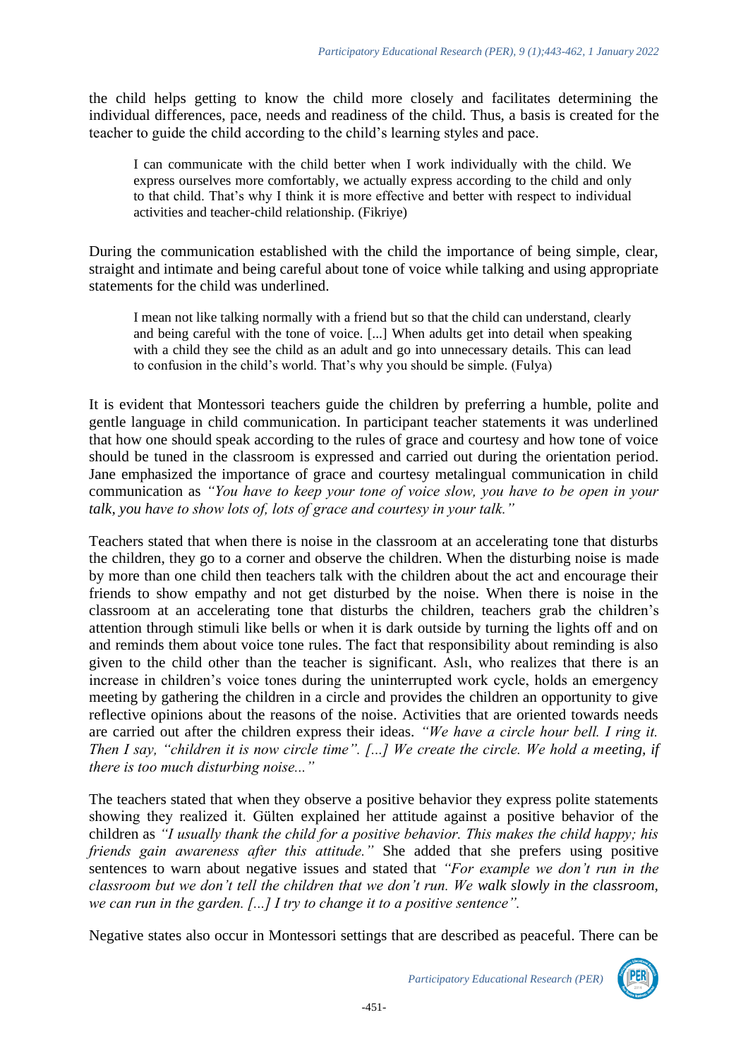the child helps getting to know the child more closely and facilitates determining the individual differences, pace, needs and readiness of the child. Thus, a basis is created for the teacher to guide the child according to the child's learning styles and pace.

I can communicate with the child better when I work individually with the child. We express ourselves more comfortably, we actually express according to the child and only to that child. That's why I think it is more effective and better with respect to individual activities and teacher-child relationship. (Fikriye)

During the communication established with the child the importance of being simple, clear, straight and intimate and being careful about tone of voice while talking and using appropriate statements for the child was underlined.

I mean not like talking normally with a friend but so that the child can understand, clearly and being careful with the tone of voice. [...] When adults get into detail when speaking with a child they see the child as an adult and go into unnecessary details. This can lead to confusion in the child's world. That's why you should be simple. (Fulya)

It is evident that Montessori teachers guide the children by preferring a humble, polite and gentle language in child communication. In participant teacher statements it was underlined that how one should speak according to the rules of grace and courtesy and how tone of voice should be tuned in the classroom is expressed and carried out during the orientation period. Jane emphasized the importance of grace and courtesy metalingual communication in child communication as *"You have to keep your tone of voice slow, you have to be open in your talk, you have to show lots of, lots of grace and courtesy in your talk."* 

Teachers stated that when there is noise in the classroom at an accelerating tone that disturbs the children, they go to a corner and observe the children. When the disturbing noise is made by more than one child then teachers talk with the children about the act and encourage their friends to show empathy and not get disturbed by the noise. When there is noise in the classroom at an accelerating tone that disturbs the children, teachers grab the children's attention through stimuli like bells or when it is dark outside by turning the lights off and on and reminds them about voice tone rules. The fact that responsibility about reminding is also given to the child other than the teacher is significant. Aslı, who realizes that there is an increase in children's voice tones during the uninterrupted work cycle, holds an emergency meeting by gathering the children in a circle and provides the children an opportunity to give reflective opinions about the reasons of the noise. Activities that are oriented towards needs are carried out after the children express their ideas. *"We have a circle hour bell. I ring it. Then I say, "children it is now circle time". [...] We create the circle. We hold a meeting, if there is too much disturbing noise..."*

The teachers stated that when they observe a positive behavior they express polite statements showing they realized it. Gülten explained her attitude against a positive behavior of the children as *"I usually thank the child for a positive behavior. This makes the child happy; his friends gain awareness after this attitude."* She added that she prefers using positive sentences to warn about negative issues and stated that *"For example we don't run in the classroom but we don't tell the children that we don't run. We walk slowly in the classroom, we can run in the garden. [...] I try to change it to a positive sentence".*

Negative states also occur in Montessori settings that are described as peaceful. There can be



*Participatory Educational Research (PER)*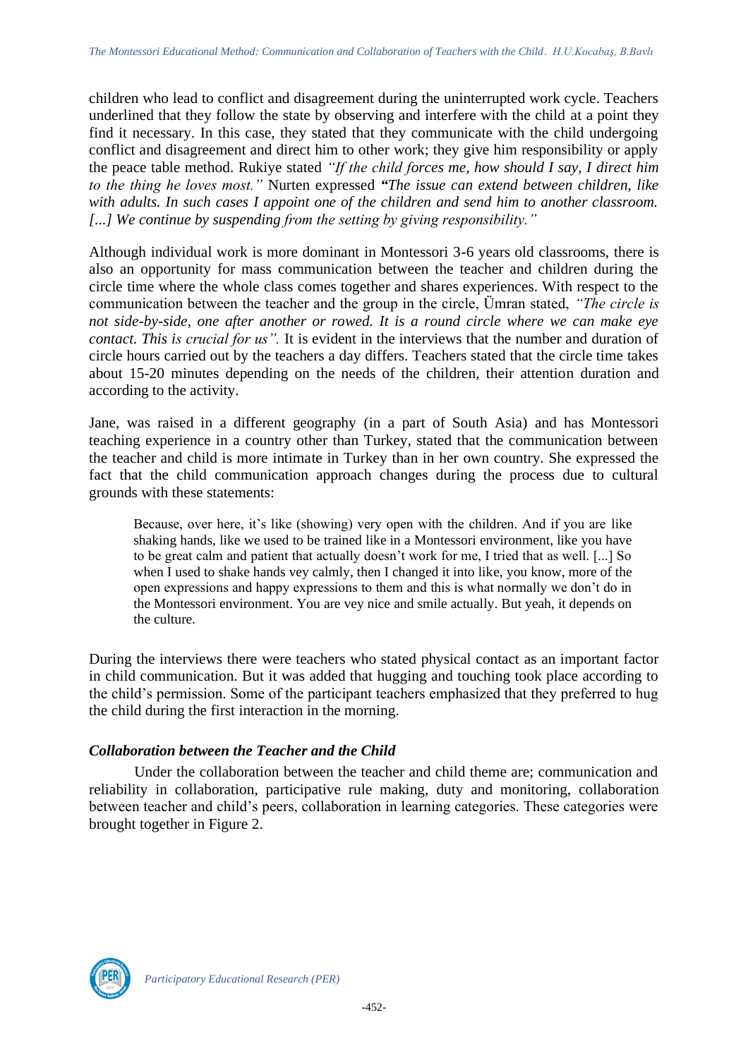children who lead to conflict and disagreement during the uninterrupted work cycle. Teachers underlined that they follow the state by observing and interfere with the child at a point they find it necessary. In this case, they stated that they communicate with the child undergoing conflict and disagreement and direct him to other work; they give him responsibility or apply the peace table method. Rukiye stated *"If the child forces me, how should I say, I direct him to the thing he loves most."* Nurten expressed *"The issue can extend between children, like with adults. In such cases I appoint one of the children and send him to another classroom. [...] We continue by suspending from the setting by giving responsibility."*

Although individual work is more dominant in Montessori 3-6 years old classrooms, there is also an opportunity for mass communication between the teacher and children during the circle time where the whole class comes together and shares experiences. With respect to the communication between the teacher and the group in the circle, Ümran stated, *"The circle is not side-by-side, one after another or rowed. It is a round circle where we can make eye contact. This is crucial for us".* It is evident in the interviews that the number and duration of circle hours carried out by the teachers a day differs. Teachers stated that the circle time takes about 15-20 minutes depending on the needs of the children, their attention duration and according to the activity.

Jane, was raised in a different geography (in a part of South Asia) and has Montessori teaching experience in a country other than Turkey, stated that the communication between the teacher and child is more intimate in Turkey than in her own country. She expressed the fact that the child communication approach changes during the process due to cultural grounds with these statements:

Because, over here, it's like (showing) very open with the children. And if you are like shaking hands, like we used to be trained like in a Montessori environment, like you have to be great calm and patient that actually doesn't work for me, I tried that as well. [...] So when I used to shake hands vey calmly, then I changed it into like, you know, more of the open expressions and happy expressions to them and this is what normally we don't do in the Montessori environment. You are vey nice and smile actually. But yeah, it depends on the culture.

During the interviews there were teachers who stated physical contact as an important factor in child communication. But it was added that hugging and touching took place according to the child's permission. Some of the participant teachers emphasized that they preferred to hug the child during the first interaction in the morning.

### *Collaboration between the Teacher and the Child*

Under the collaboration between the teacher and child theme are; communication and reliability in collaboration, participative rule making, duty and monitoring, collaboration between teacher and child's peers, collaboration in learning categories. These categories were brought together in Figure 2.

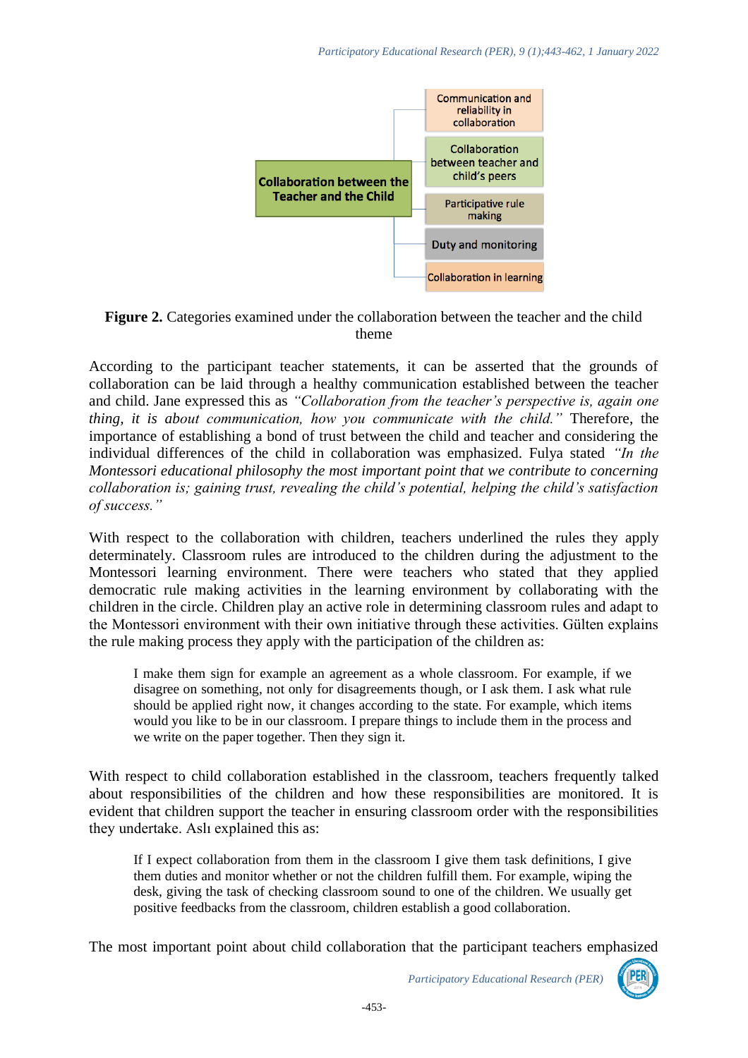

#### **Figure 2.** Categories examined under the collaboration between the teacher and the child theme

According to the participant teacher statements, it can be asserted that the grounds of collaboration can be laid through a healthy communication established between the teacher and child. Jane expressed this as *"Collaboration from the teacher's perspective is, again one thing, it is about communication, how you communicate with the child."* Therefore, the importance of establishing a bond of trust between the child and teacher and considering the individual differences of the child in collaboration was emphasized. Fulya stated *"In the Montessori educational philosophy the most important point that we contribute to concerning collaboration is; gaining trust, revealing the child's potential, helping the child's satisfaction of success."*

With respect to the collaboration with children, teachers underlined the rules they apply determinately. Classroom rules are introduced to the children during the adjustment to the Montessori learning environment. There were teachers who stated that they applied democratic rule making activities in the learning environment by collaborating with the children in the circle. Children play an active role in determining classroom rules and adapt to the Montessori environment with their own initiative through these activities. Gülten explains the rule making process they apply with the participation of the children as:

I make them sign for example an agreement as a whole classroom. For example, if we disagree on something, not only for disagreements though, or I ask them. I ask what rule should be applied right now, it changes according to the state. For example, which items would you like to be in our classroom. I prepare things to include them in the process and we write on the paper together. Then they sign it.

With respect to child collaboration established in the classroom, teachers frequently talked about responsibilities of the children and how these responsibilities are monitored. It is evident that children support the teacher in ensuring classroom order with the responsibilities they undertake. Aslı explained this as:

If I expect collaboration from them in the classroom I give them task definitions, I give them duties and monitor whether or not the children fulfill them. For example, wiping the desk, giving the task of checking classroom sound to one of the children. We usually get positive feedbacks from the classroom, children establish a good collaboration.

The most important point about child collaboration that the participant teachers emphasized

*Participatory Educational Research (PER)*

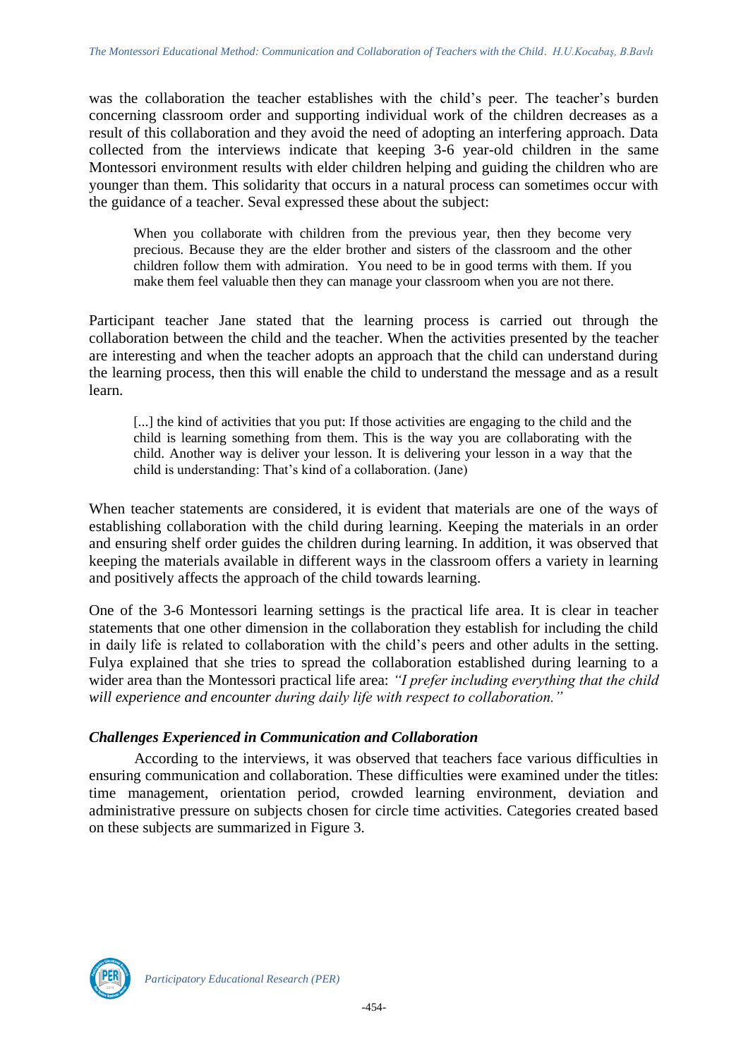was the collaboration the teacher establishes with the child's peer. The teacher's burden concerning classroom order and supporting individual work of the children decreases as a result of this collaboration and they avoid the need of adopting an interfering approach. Data collected from the interviews indicate that keeping 3-6 year-old children in the same Montessori environment results with elder children helping and guiding the children who are younger than them. This solidarity that occurs in a natural process can sometimes occur with the guidance of a teacher. Seval expressed these about the subject:

When you collaborate with children from the previous year, then they become very precious. Because they are the elder brother and sisters of the classroom and the other children follow them with admiration. You need to be in good terms with them. If you make them feel valuable then they can manage your classroom when you are not there.

Participant teacher Jane stated that the learning process is carried out through the collaboration between the child and the teacher. When the activities presented by the teacher are interesting and when the teacher adopts an approach that the child can understand during the learning process, then this will enable the child to understand the message and as a result learn.

[...] the kind of activities that you put: If those activities are engaging to the child and the child is learning something from them. This is the way you are collaborating with the child. Another way is deliver your lesson. It is delivering your lesson in a way that the child is understanding: That's kind of a collaboration. (Jane)

When teacher statements are considered, it is evident that materials are one of the ways of establishing collaboration with the child during learning. Keeping the materials in an order and ensuring shelf order guides the children during learning. In addition, it was observed that keeping the materials available in different ways in the classroom offers a variety in learning and positively affects the approach of the child towards learning.

One of the 3-6 Montessori learning settings is the practical life area. It is clear in teacher statements that one other dimension in the collaboration they establish for including the child in daily life is related to collaboration with the child's peers and other adults in the setting. Fulya explained that she tries to spread the collaboration established during learning to a wider area than the Montessori practical life area: *"I prefer including everything that the child will experience and encounter during daily life with respect to collaboration."*

### *Challenges Experienced in Communication and Collaboration*

According to the interviews, it was observed that teachers face various difficulties in ensuring communication and collaboration. These difficulties were examined under the titles: time management, orientation period, crowded learning environment, deviation and administrative pressure on subjects chosen for circle time activities. Categories created based on these subjects are summarized in Figure 3.

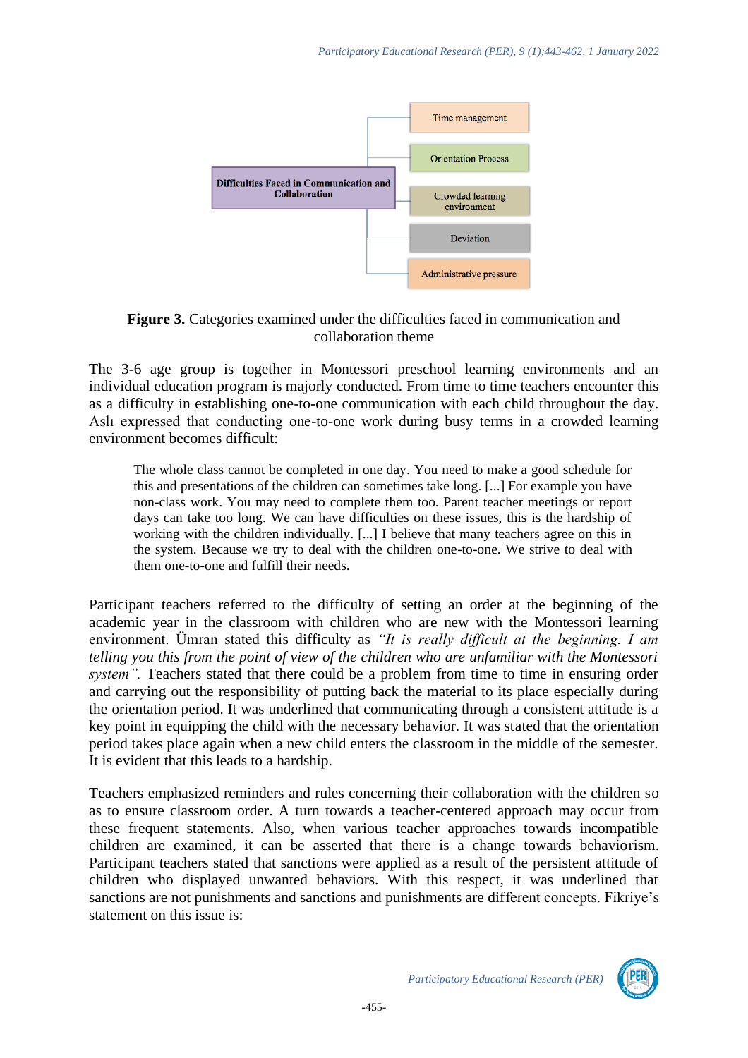

**Figure 3.** Categories examined under the difficulties faced in communication and collaboration theme

The 3-6 age group is together in Montessori preschool learning environments and an individual education program is majorly conducted. From time to time teachers encounter this as a difficulty in establishing one-to-one communication with each child throughout the day. Aslı expressed that conducting one-to-one work during busy terms in a crowded learning environment becomes difficult:

The whole class cannot be completed in one day. You need to make a good schedule for this and presentations of the children can sometimes take long. [...] For example you have non-class work. You may need to complete them too. Parent teacher meetings or report days can take too long. We can have difficulties on these issues, this is the hardship of working with the children individually. [...] I believe that many teachers agree on this in the system. Because we try to deal with the children one-to-one. We strive to deal with them one-to-one and fulfill their needs.

Participant teachers referred to the difficulty of setting an order at the beginning of the academic year in the classroom with children who are new with the Montessori learning environment. Ümran stated this difficulty as *"It is really difficult at the beginning. I am telling you this from the point of view of the children who are unfamiliar with the Montessori system".* Teachers stated that there could be a problem from time to time in ensuring order and carrying out the responsibility of putting back the material to its place especially during the orientation period. It was underlined that communicating through a consistent attitude is a key point in equipping the child with the necessary behavior. It was stated that the orientation period takes place again when a new child enters the classroom in the middle of the semester. It is evident that this leads to a hardship.

Teachers emphasized reminders and rules concerning their collaboration with the children so as to ensure classroom order. A turn towards a teacher-centered approach may occur from these frequent statements. Also, when various teacher approaches towards incompatible children are examined, it can be asserted that there is a change towards behaviorism. Participant teachers stated that sanctions were applied as a result of the persistent attitude of children who displayed unwanted behaviors. With this respect, it was underlined that sanctions are not punishments and sanctions and punishments are different concepts. Fikriye's statement on this issue is:

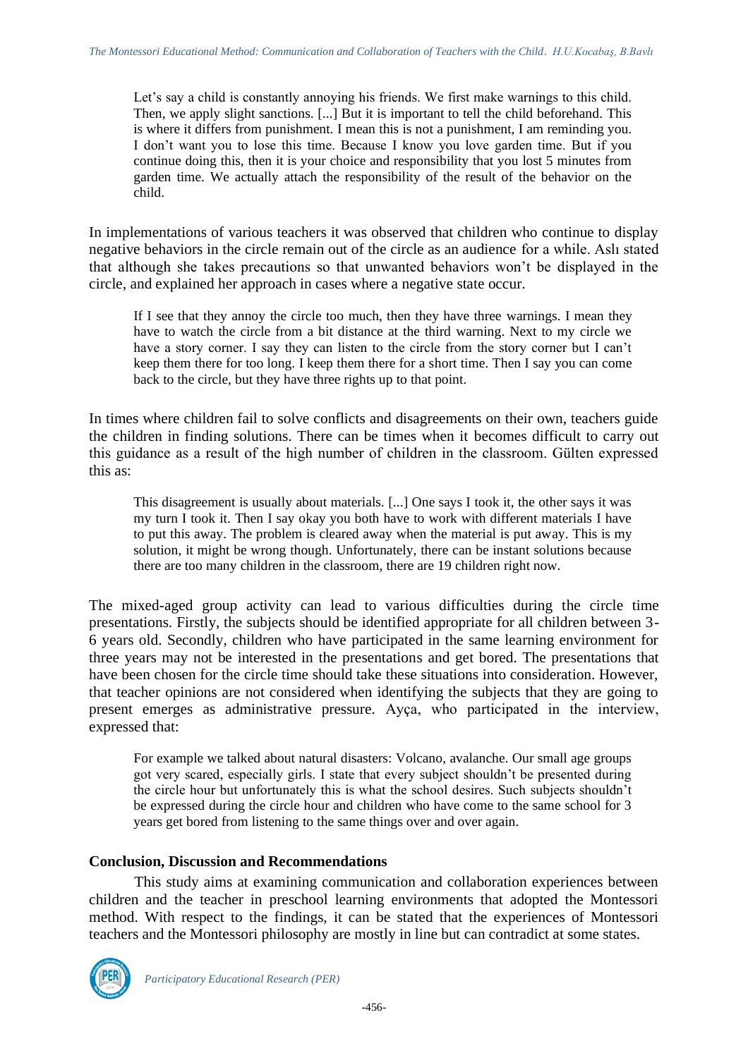Let's say a child is constantly annoying his friends. We first make warnings to this child. Then, we apply slight sanctions. [...] But it is important to tell the child beforehand. This is where it differs from punishment. I mean this is not a punishment, I am reminding you. I don't want you to lose this time. Because I know you love garden time. But if you continue doing this, then it is your choice and responsibility that you lost 5 minutes from garden time. We actually attach the responsibility of the result of the behavior on the child.

In implementations of various teachers it was observed that children who continue to display negative behaviors in the circle remain out of the circle as an audience for a while. Aslı stated that although she takes precautions so that unwanted behaviors won't be displayed in the circle, and explained her approach in cases where a negative state occur.

If I see that they annoy the circle too much, then they have three warnings. I mean they have to watch the circle from a bit distance at the third warning. Next to my circle we have a story corner. I say they can listen to the circle from the story corner but I can't keep them there for too long. I keep them there for a short time. Then I say you can come back to the circle, but they have three rights up to that point.

In times where children fail to solve conflicts and disagreements on their own, teachers guide the children in finding solutions. There can be times when it becomes difficult to carry out this guidance as a result of the high number of children in the classroom. Gülten expressed this as:

This disagreement is usually about materials. [...] One says I took it, the other says it was my turn I took it. Then I say okay you both have to work with different materials I have to put this away. The problem is cleared away when the material is put away. This is my solution, it might be wrong though. Unfortunately, there can be instant solutions because there are too many children in the classroom, there are 19 children right now.

The mixed-aged group activity can lead to various difficulties during the circle time presentations. Firstly, the subjects should be identified appropriate for all children between 3- 6 years old. Secondly, children who have participated in the same learning environment for three years may not be interested in the presentations and get bored. The presentations that have been chosen for the circle time should take these situations into consideration. However, that teacher opinions are not considered when identifying the subjects that they are going to present emerges as administrative pressure. Ayça, who participated in the interview, expressed that:

For example we talked about natural disasters: Volcano, avalanche. Our small age groups got very scared, especially girls. I state that every subject shouldn't be presented during the circle hour but unfortunately this is what the school desires. Such subjects shouldn't be expressed during the circle hour and children who have come to the same school for 3 years get bored from listening to the same things over and over again.

#### **Conclusion, Discussion and Recommendations**

This study aims at examining communication and collaboration experiences between children and the teacher in preschool learning environments that adopted the Montessori method. With respect to the findings, it can be stated that the experiences of Montessori teachers and the Montessori philosophy are mostly in line but can contradict at some states.

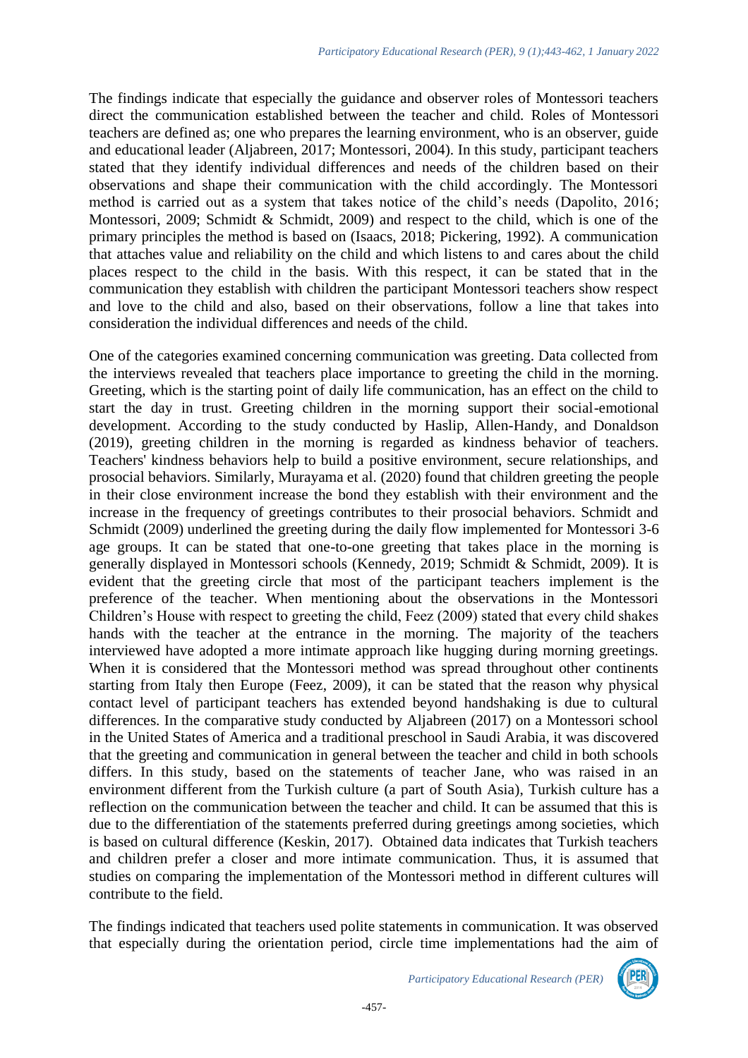The findings indicate that especially the guidance and observer roles of Montessori teachers direct the communication established between the teacher and child. Roles of Montessori teachers are defined as; one who prepares the learning environment, who is an observer, guide and educational leader (Aljabreen, 2017; Montessori, 2004). In this study, participant teachers stated that they identify individual differences and needs of the children based on their observations and shape their communication with the child accordingly. The Montessori method is carried out as a system that takes notice of the child's needs (Dapolito, 2016; Montessori, 2009; Schmidt & Schmidt, 2009) and respect to the child, which is one of the primary principles the method is based on (Isaacs, 2018; Pickering, 1992). A communication that attaches value and reliability on the child and which listens to and cares about the child places respect to the child in the basis. With this respect, it can be stated that in the communication they establish with children the participant Montessori teachers show respect and love to the child and also, based on their observations, follow a line that takes into consideration the individual differences and needs of the child.

One of the categories examined concerning communication was greeting. Data collected from the interviews revealed that teachers place importance to greeting the child in the morning. Greeting, which is the starting point of daily life communication, has an effect on the child to start the day in trust. Greeting children in the morning support their social-emotional development. According to the study conducted by Haslip, Allen-Handy, and Donaldson (2019), greeting children in the morning is regarded as kindness behavior of teachers. Teachers' kindness behaviors help to build a positive environment, secure relationships, and prosocial behaviors. Similarly, Murayama et al. (2020) found that children greeting the people in their close environment increase the bond they establish with their environment and the increase in the frequency of greetings contributes to their prosocial behaviors. Schmidt and Schmidt (2009) underlined the greeting during the daily flow implemented for Montessori 3-6 age groups. It can be stated that one-to-one greeting that takes place in the morning is generally displayed in Montessori schools (Kennedy, 2019; Schmidt & Schmidt, 2009). It is evident that the greeting circle that most of the participant teachers implement is the preference of the teacher. When mentioning about the observations in the Montessori Children's House with respect to greeting the child, Feez (2009) stated that every child shakes hands with the teacher at the entrance in the morning. The majority of the teachers interviewed have adopted a more intimate approach like hugging during morning greetings. When it is considered that the Montessori method was spread throughout other continents starting from Italy then Europe (Feez, 2009), it can be stated that the reason why physical contact level of participant teachers has extended beyond handshaking is due to cultural differences. In the comparative study conducted by Aljabreen (2017) on a Montessori school in the United States of America and a traditional preschool in Saudi Arabia, it was discovered that the greeting and communication in general between the teacher and child in both schools differs. In this study, based on the statements of teacher Jane, who was raised in an environment different from the Turkish culture (a part of South Asia), Turkish culture has a reflection on the communication between the teacher and child. It can be assumed that this is due to the differentiation of the statements preferred during greetings among societies, which is based on cultural difference (Keskin, 2017). Obtained data indicates that Turkish teachers and children prefer a closer and more intimate communication. Thus, it is assumed that studies on comparing the implementation of the Montessori method in different cultures will contribute to the field.

The findings indicated that teachers used polite statements in communication. It was observed that especially during the orientation period, circle time implementations had the aim of

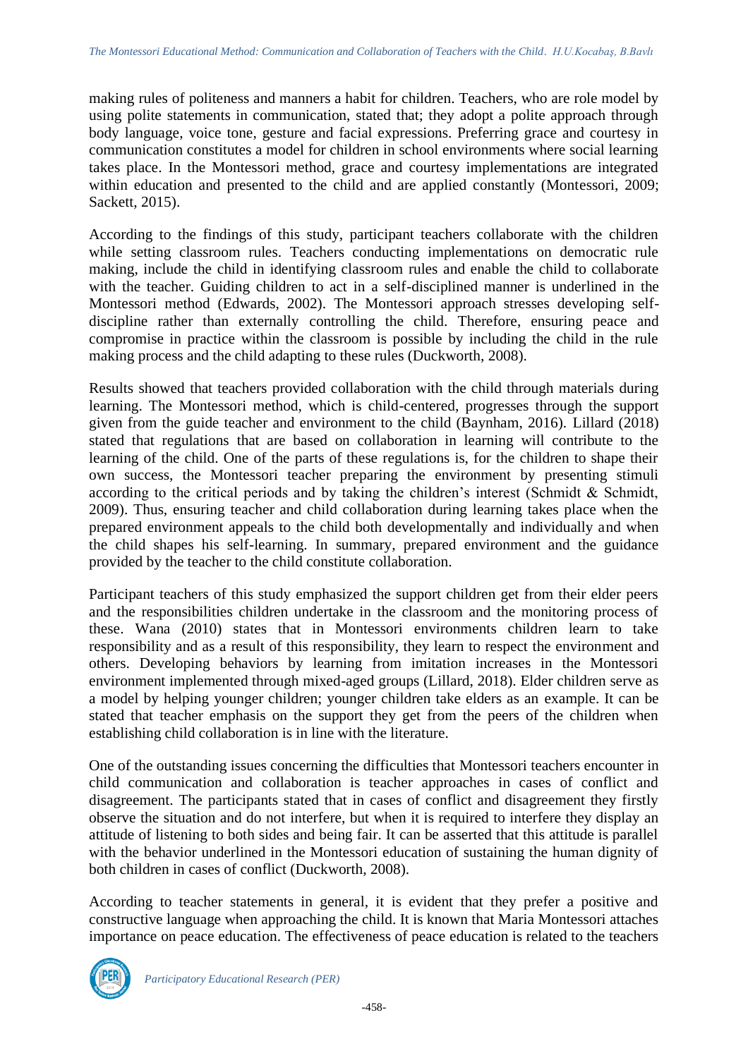making rules of politeness and manners a habit for children. Teachers, who are role model by using polite statements in communication, stated that; they adopt a polite approach through body language, voice tone, gesture and facial expressions. Preferring grace and courtesy in communication constitutes a model for children in school environments where social learning takes place. In the Montessori method, grace and courtesy implementations are integrated within education and presented to the child and are applied constantly (Montessori, 2009; Sackett, 2015).

According to the findings of this study, participant teachers collaborate with the children while setting classroom rules. Teachers conducting implementations on democratic rule making, include the child in identifying classroom rules and enable the child to collaborate with the teacher. Guiding children to act in a self-disciplined manner is underlined in the Montessori method (Edwards, 2002). The Montessori approach stresses developing selfdiscipline rather than externally controlling the child. Therefore, ensuring peace and compromise in practice within the classroom is possible by including the child in the rule making process and the child adapting to these rules (Duckworth, 2008).

Results showed that teachers provided collaboration with the child through materials during learning. The Montessori method, which is child-centered, progresses through the support given from the guide teacher and environment to the child (Baynham, 2016). Lillard (2018) stated that regulations that are based on collaboration in learning will contribute to the learning of the child. One of the parts of these regulations is, for the children to shape their own success, the Montessori teacher preparing the environment by presenting stimuli according to the critical periods and by taking the children's interest (Schmidt & Schmidt, 2009). Thus, ensuring teacher and child collaboration during learning takes place when the prepared environment appeals to the child both developmentally and individually and when the child shapes his self-learning. In summary, prepared environment and the guidance provided by the teacher to the child constitute collaboration.

Participant teachers of this study emphasized the support children get from their elder peers and the responsibilities children undertake in the classroom and the monitoring process of these. Wana (2010) states that in Montessori environments children learn to take responsibility and as a result of this responsibility, they learn to respect the environment and others. Developing behaviors by learning from imitation increases in the Montessori environment implemented through mixed-aged groups (Lillard, 2018). Elder children serve as a model by helping younger children; younger children take elders as an example. It can be stated that teacher emphasis on the support they get from the peers of the children when establishing child collaboration is in line with the literature.

One of the outstanding issues concerning the difficulties that Montessori teachers encounter in child communication and collaboration is teacher approaches in cases of conflict and disagreement. The participants stated that in cases of conflict and disagreement they firstly observe the situation and do not interfere, but when it is required to interfere they display an attitude of listening to both sides and being fair. It can be asserted that this attitude is parallel with the behavior underlined in the Montessori education of sustaining the human dignity of both children in cases of conflict (Duckworth, 2008).

According to teacher statements in general, it is evident that they prefer a positive and constructive language when approaching the child. It is known that Maria Montessori attaches importance on peace education. The effectiveness of peace education is related to the teachers

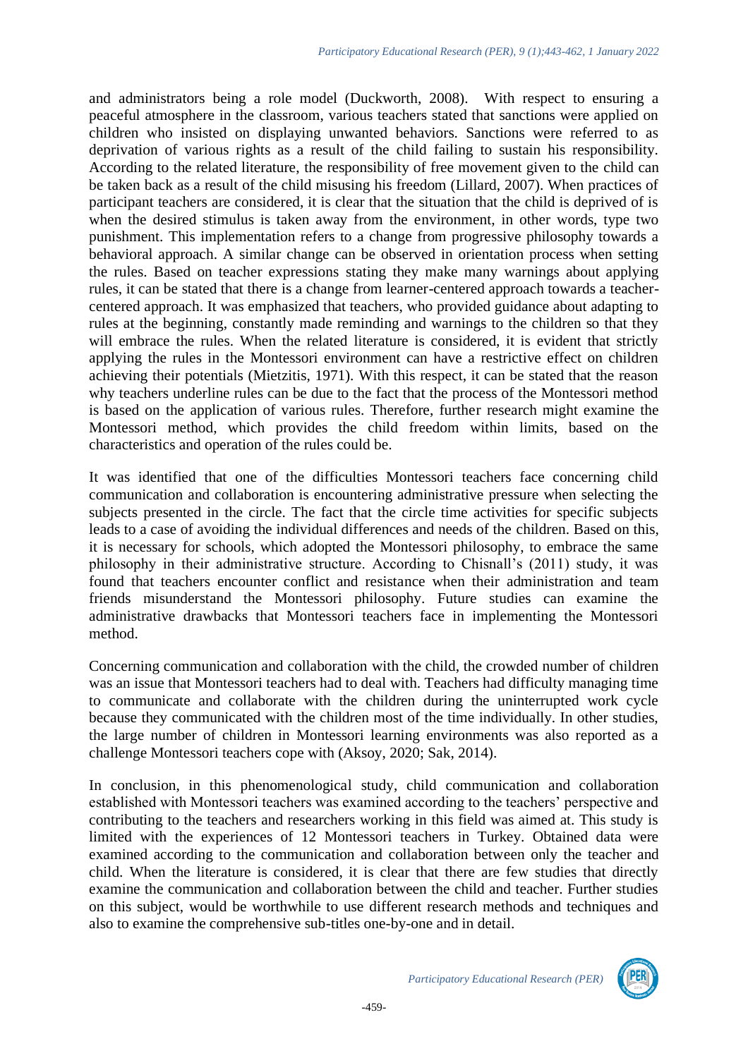and administrators being a role model (Duckworth, 2008). With respect to ensuring a peaceful atmosphere in the classroom, various teachers stated that sanctions were applied on children who insisted on displaying unwanted behaviors. Sanctions were referred to as deprivation of various rights as a result of the child failing to sustain his responsibility. According to the related literature, the responsibility of free movement given to the child can be taken back as a result of the child misusing his freedom (Lillard, 2007). When practices of participant teachers are considered, it is clear that the situation that the child is deprived of is when the desired stimulus is taken away from the environment, in other words, type two punishment. This implementation refers to a change from progressive philosophy towards a behavioral approach. A similar change can be observed in orientation process when setting the rules. Based on teacher expressions stating they make many warnings about applying rules, it can be stated that there is a change from learner-centered approach towards a teachercentered approach. It was emphasized that teachers, who provided guidance about adapting to rules at the beginning, constantly made reminding and warnings to the children so that they will embrace the rules. When the related literature is considered, it is evident that strictly applying the rules in the Montessori environment can have a restrictive effect on children achieving their potentials (Mietzitis, 1971). With this respect, it can be stated that the reason why teachers underline rules can be due to the fact that the process of the Montessori method is based on the application of various rules. Therefore, further research might examine the Montessori method, which provides the child freedom within limits, based on the characteristics and operation of the rules could be.

It was identified that one of the difficulties Montessori teachers face concerning child communication and collaboration is encountering administrative pressure when selecting the subjects presented in the circle. The fact that the circle time activities for specific subjects leads to a case of avoiding the individual differences and needs of the children. Based on this, it is necessary for schools, which adopted the Montessori philosophy, to embrace the same philosophy in their administrative structure. According to Chisnall's (2011) study, it was found that teachers encounter conflict and resistance when their administration and team friends misunderstand the Montessori philosophy. Future studies can examine the administrative drawbacks that Montessori teachers face in implementing the Montessori method.

Concerning communication and collaboration with the child, the crowded number of children was an issue that Montessori teachers had to deal with. Teachers had difficulty managing time to communicate and collaborate with the children during the uninterrupted work cycle because they communicated with the children most of the time individually. In other studies, the large number of children in Montessori learning environments was also reported as a challenge Montessori teachers cope with (Aksoy, 2020; Sak, 2014).

In conclusion, in this phenomenological study, child communication and collaboration established with Montessori teachers was examined according to the teachers' perspective and contributing to the teachers and researchers working in this field was aimed at. This study is limited with the experiences of 12 Montessori teachers in Turkey. Obtained data were examined according to the communication and collaboration between only the teacher and child. When the literature is considered, it is clear that there are few studies that directly examine the communication and collaboration between the child and teacher. Further studies on this subject, would be worthwhile to use different research methods and techniques and also to examine the comprehensive sub-titles one-by-one and in detail.

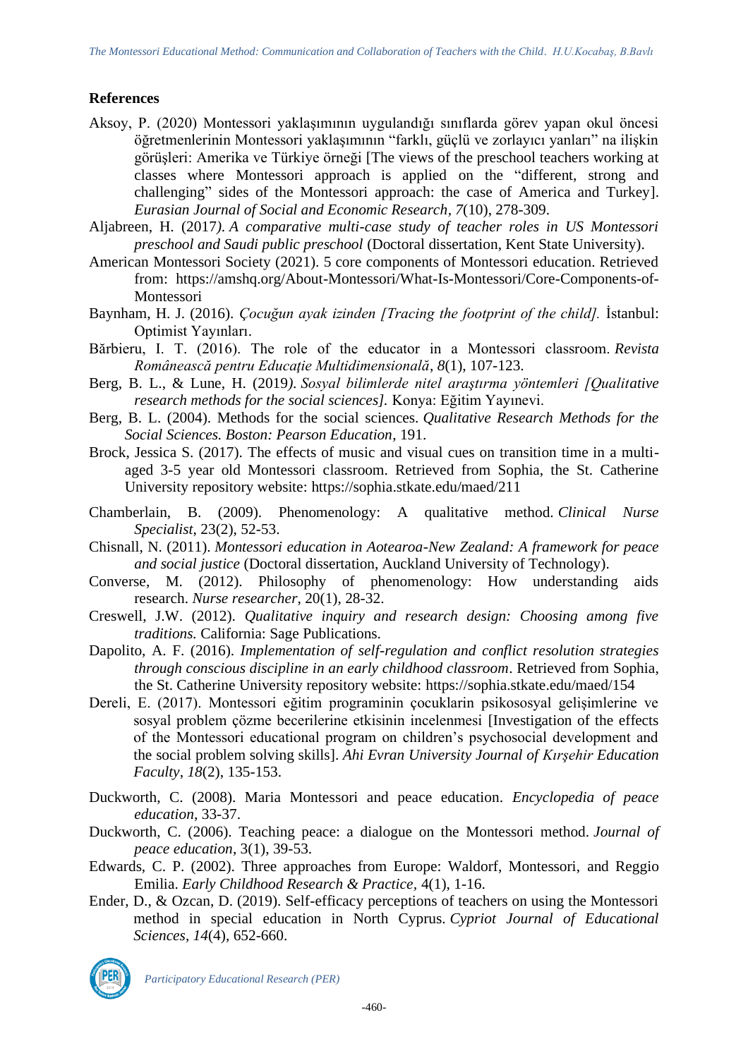### **References**

- Aksoy, P. (2020) Montessori yaklaşımının uygulandığı sınıflarda görev yapan okul öncesi öğretmenlerinin Montessori yaklaşımının "farklı, güçlü ve zorlayıcı yanları" na ilişkin görüşleri: Amerika ve Türkiye örneği [The views of the preschool teachers working at classes where Montessori approach is applied on the "different, strong and challenging" sides of the Montessori approach: the case of America and Turkey]. *Eurasian Journal of Social and Economic Research, 7*(10), 278-309.
- Aljabreen, H. (2017*). A comparative multi-case study of teacher roles in US Montessori preschool and Saudi public preschool* (Doctoral dissertation, Kent State University).
- American Montessori Society (2021). 5 core components of Montessori education. Retrieved from: [https://amshq.org/About-Montessori/What-Is-Montessori/Core-Components-of-](https://amshq.org/About-Montessori/What-Is-Montessori/Core-Components-of-Montessori)[Montessori](https://amshq.org/About-Montessori/What-Is-Montessori/Core-Components-of-Montessori)
- Baynham, H. J. (2016). *Çocuğun ayak izinden [Tracing the footprint of the child].* İstanbul: Optimist Yayınları.
- Bărbieru, I. T. (2016). The role of the educator in a Montessori classroom. *Revista Românească pentru Educaţie Multidimensională*, *8*(1), 107-123.
- Berg, B. L., & Lune, H. (2019*). Sosyal bilimlerde nitel araştırma yöntemleri [Qualitative research methods for the social sciences].* Konya: Eğitim Yayınevi.
- Berg, B. L. (2004). Methods for the social sciences. *Qualitative Research Methods for the Social Sciences. Boston: Pearson Education*, 191.
- Brock, Jessica S. (2017). The effects of music and visual cues on transition time in a multiaged 3-5 year old Montessori classroom. Retrieved from Sophia, the St. Catherine University repository website:<https://sophia.stkate.edu/maed/211>
- Chamberlain, B. (2009). Phenomenology: A qualitative method. *Clinical Nurse Specialist*, 23(2), 52-53.
- Chisnall, N. (2011). *Montessori education in Aotearoa-New Zealand: A framework for peace and social justice* (Doctoral dissertation, Auckland University of Technology).
- Converse, M. (2012). Philosophy of phenomenology: How understanding aids research. *Nurse researcher*, 20(1), 28-32.
- Creswell, J.W. (2012). *Qualitative inquiry and research design: Choosing among five traditions.* California: Sage Publications.
- Dapolito, A. F. (2016). *Implementation of self-regulation and conflict resolution strategies through conscious discipline in an early childhood classroom*. Retrieved from Sophia, the St. Catherine University repository website:<https://sophia.stkate.edu/maed/154>
- Dereli, E. (2017). Montessori eğitim programinin çocuklarin psikososyal gelişimlerine ve sosyal problem çözme becerilerine etkisinin incelenmesi [Investigation of the effects of the Montessori educational program on children's psychosocial development and the social problem solving skills]. *Ahi Evran University Journal of Kırşehir Education Faculty*, *18*(2), 135-153.
- Duckworth, C. (2008). Maria Montessori and peace education. *Encyclopedia of peace education*, 33-37.
- Duckworth, C. (2006). Teaching peace: a dialogue on the Montessori method. *Journal of peace education*, 3(1), 39-53.
- Edwards, C. P. (2002). Three approaches from Europe: Waldorf, Montessori, and Reggio Emilia. *Early Childhood Research & Practice,* 4(1), 1-16.
- Ender, D., & Ozcan, D. (2019). Self-efficacy perceptions of teachers on using the Montessori method in special education in North Cyprus. *Cypriot Journal of Educational Sciences*, *14*(4), 652-660.



*Participatory Educational Research (PER)*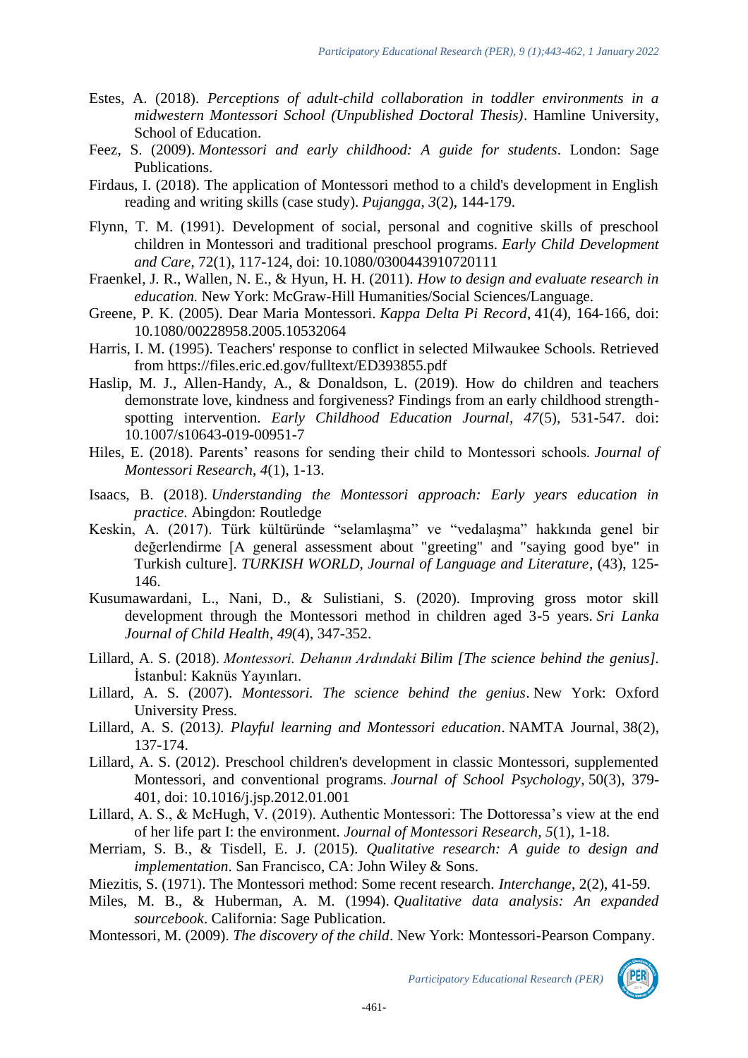- Estes, A. (2018). *Perceptions of adult-child collaboration in toddler environments in a midwestern Montessori School (Unpublished Doctoral Thesis)*. Hamline University, School of Education.
- Feez, S. (2009). *Montessori and early childhood: A guide for students*. London: Sage Publications.
- Firdaus, I. (2018). The application of Montessori method to a child's development in English reading and writing skills (case study). *Pujangga*, *3*(2), 144-179.
- Flynn, T. M. (1991). Development of social, personal and cognitive skills of preschool children in Montessori and traditional preschool programs. *Early Child Development and Care*, 72(1), 117-124, doi: [10.1080/0300443910720111](https://doi.org/10.1080/0300443910720111)
- Fraenkel, J. R., Wallen, N. E., & Hyun, H. H. (2011). *How to design and evaluate research in education.* New York: McGraw-Hill Humanities/Social Sciences/Language.
- Greene, P. K. (2005). Dear Maria Montessori. *Kappa Delta Pi Record*, 41(4), 164-166, doi: 10.1080/00228958.2005.10532064
- Harris, I. M. (1995). Teachers' response to conflict in selected Milwaukee Schools. Retrieved from<https://files.eric.ed.gov/fulltext/ED393855.pdf>
- Haslip, M. J., Allen-Handy, A., & Donaldson, L. (2019). How do children and teachers demonstrate love, kindness and forgiveness? Findings from an early childhood strengthspotting intervention. *Early Childhood Education Journal, 47*(5), 531-547. doi: 10.1007/s10643-019-00951-7
- Hiles, E. (2018). Parents' reasons for sending their child to Montessori schools. *Journal of Montessori Research*, *4*(1), 1-13.
- Isaacs, B. (2018). *Understanding the Montessori approach: Early years education in practice.* Abingdon: Routledge
- Keskin, A. (2017). Türk kültüründe "selamlaşma" ve "vedalaşma" hakkında genel bir değerlendirme [A general assessment about "greeting" and "saying good bye" in Turkish culture]. *TURKISH WORLD, Journal of Language and Literature*, (43), 125- 146.
- Kusumawardani, L., Nani, D., & Sulistiani, S. (2020). Improving gross motor skill development through the Montessori method in children aged 3-5 years. *Sri Lanka Journal of Child Health*, *49*(4), 347-352.
- Lillard, A. S. (2018). *Montessori. Dehanın Ardındaki Bilim [The science behind the genius].* İstanbul: Kaknüs Yayınları.
- Lillard, A. S. (2007). *Montessori. The science behind the genius*. New York: Oxford University Press.
- Lillard, A. S. (2013*). Playful learning and Montessori education*. NAMTA Journal, 38(2), 137-174.
- Lillard, A. S. (2012). Preschool children's development in classic Montessori, supplemented Montessori, and conventional programs. *Journal of School Psychology*, 50(3), 379- 401, doi: [10.1016/j.jsp.2012.01.001](https://doi.org/10.1016/j.jsp.2012.01.001)
- Lillard, A. S., & McHugh, V. (2019). Authentic Montessori: The Dottoressa's view at the end of her life part I: the environment. *Journal of Montessori Research, 5*(1), 1-18.
- Merriam, S. B., & Tisdell, E. J. (2015). *Qualitative research: A guide to design and implementation*. San Francisco, CA: John Wiley & Sons.
- Miezitis, S. (1971). The Montessori method: Some recent research. *Interchange*, 2(2), 41-59.
- Miles, M. B., & Huberman, A. M. (1994). *Qualitative data analysis: An expanded sourcebook*. California: Sage Publication.
- Montessori, M. (2009). *The discovery of the child*. New York: Montessori-Pearson Company.